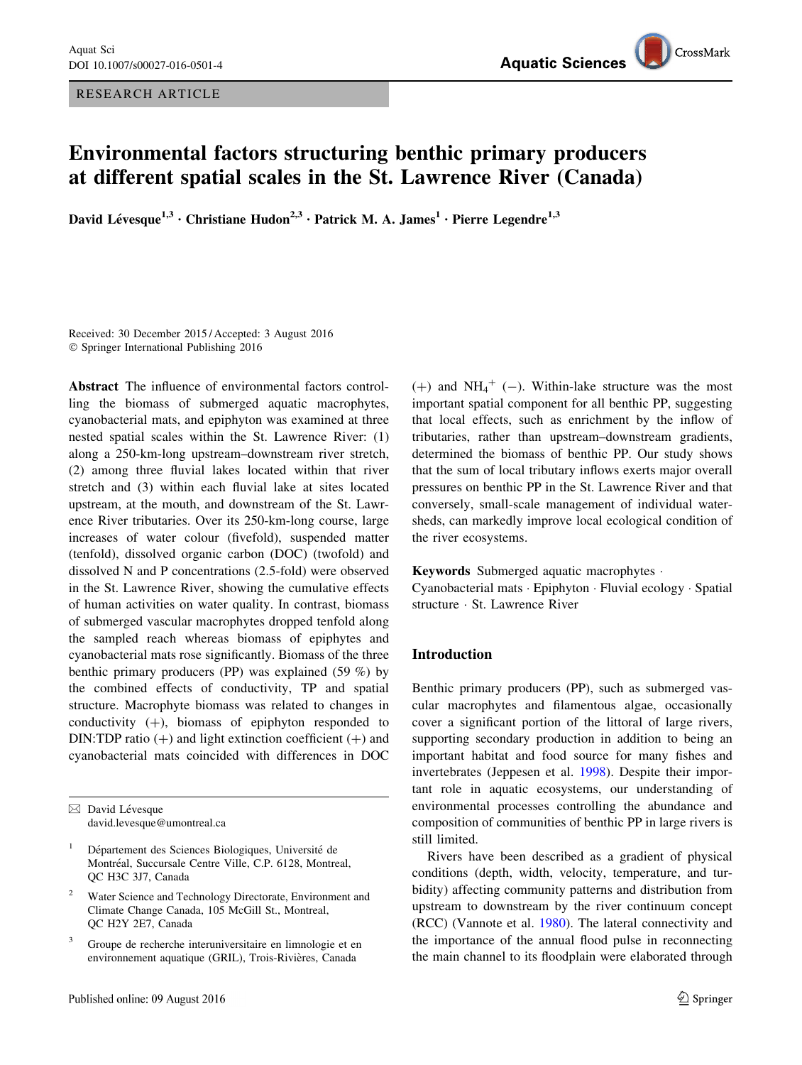RESEARCH ARTICLE

# Environmental factors structuring benthic primary producers at different spatial scales in the St. Lawrence River (Canada)

David Lévesque<sup>1,3</sup> • Christiane Hudon<sup>2,3</sup> • Patrick M. A. James<sup>1</sup> • Pierre Legendre<sup>1,3</sup>

Received: 30 December 2015 / Accepted: 3 August 2016 - Springer International Publishing 2016

Abstract The influence of environmental factors controlling the biomass of submerged aquatic macrophytes, cyanobacterial mats, and epiphyton was examined at three nested spatial scales within the St. Lawrence River: (1) along a 250-km-long upstream–downstream river stretch, (2) among three fluvial lakes located within that river stretch and (3) within each fluvial lake at sites located upstream, at the mouth, and downstream of the St. Lawrence River tributaries. Over its 250-km-long course, large increases of water colour (fivefold), suspended matter (tenfold), dissolved organic carbon (DOC) (twofold) and dissolved N and P concentrations (2.5-fold) were observed in the St. Lawrence River, showing the cumulative effects of human activities on water quality. In contrast, biomass of submerged vascular macrophytes dropped tenfold along the sampled reach whereas biomass of epiphytes and cyanobacterial mats rose significantly. Biomass of the three benthic primary producers (PP) was explained (59 %) by the combined effects of conductivity, TP and spatial structure. Macrophyte biomass was related to changes in conductivity  $(+)$ , biomass of epiphyton responded to DIN:TDP ratio  $(+)$  and light extinction coefficient  $(+)$  and cyanobacterial mats coincided with differences in DOC

- Water Science and Technology Directorate, Environment and Climate Change Canada, 105 McGill St., Montreal, QC H2Y 2E7, Canada
- <sup>3</sup> Groupe de recherche interuniversitaire en limnologie et en environnement aquatique (GRIL), Trois-Rivières, Canada

 $(+)$  and NH<sub>4</sub><sup>+</sup> (-). Within-lake structure was the most important spatial component for all benthic PP, suggesting that local effects, such as enrichment by the inflow of tributaries, rather than upstream–downstream gradients, determined the biomass of benthic PP. Our study shows that the sum of local tributary inflows exerts major overall pressures on benthic PP in the St. Lawrence River and that conversely, small-scale management of individual watersheds, can markedly improve local ecological condition of the river ecosystems.

Keywords Submerged aquatic macrophytes -

Cyanobacterial mats - Epiphyton - Fluvial ecology - Spatial structure - St. Lawrence River

# Introduction

Benthic primary producers (PP), such as submerged vascular macrophytes and filamentous algae, occasionally cover a significant portion of the littoral of large rivers, supporting secondary production in addition to being an important habitat and food source for many fishes and invertebrates (Jeppesen et al. [1998](#page-11-0)). Despite their important role in aquatic ecosystems, our understanding of environmental processes controlling the abundance and composition of communities of benthic PP in large rivers is still limited.

Rivers have been described as a gradient of physical conditions (depth, width, velocity, temperature, and turbidity) affecting community patterns and distribution from upstream to downstream by the river continuum concept (RCC) (Vannote et al. [1980](#page-11-0)). The lateral connectivity and the importance of the annual flood pulse in reconnecting the main channel to its floodplain were elaborated through

 $\boxtimes$  David Lévesque david.levesque@umontreal.ca

Département des Sciences Biologiques, Université de Montréal, Succursale Centre Ville, C.P. 6128, Montreal, QC H3C 3J7, Canada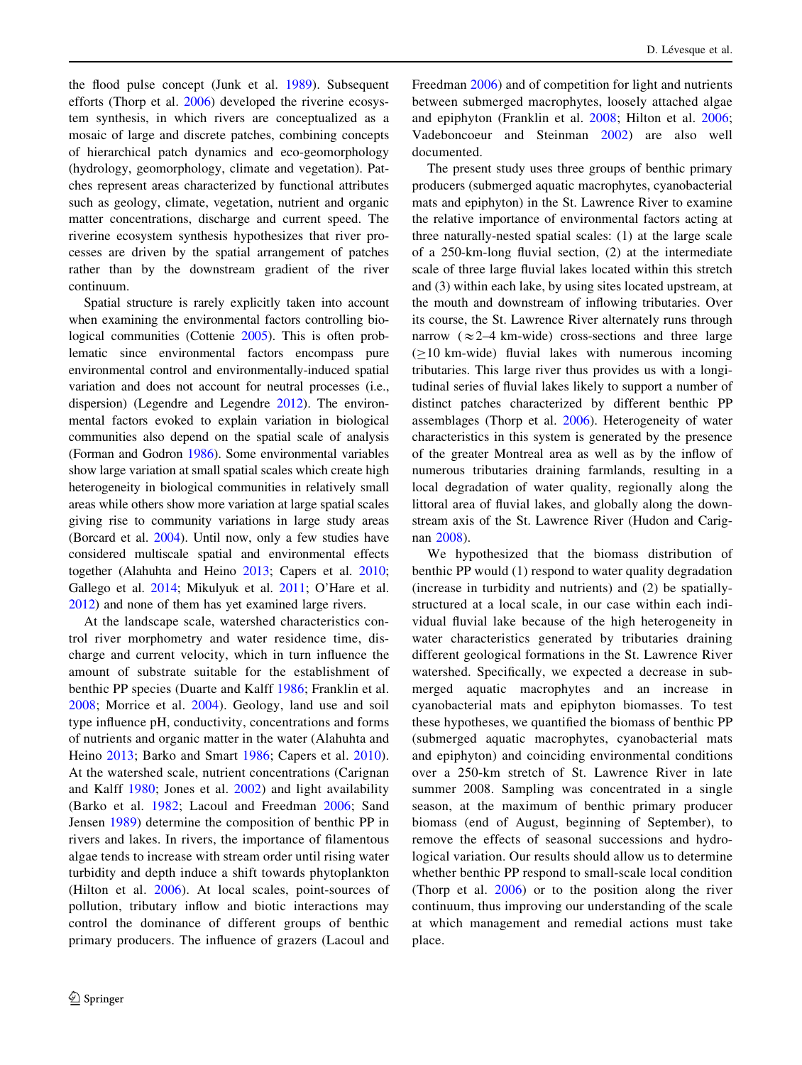the flood pulse concept (Junk et al. [1989\)](#page-11-0). Subsequent efforts (Thorp et al. [2006\)](#page-11-0) developed the riverine ecosystem synthesis, in which rivers are conceptualized as a mosaic of large and discrete patches, combining concepts of hierarchical patch dynamics and eco-geomorphology (hydrology, geomorphology, climate and vegetation). Patches represent areas characterized by functional attributes such as geology, climate, vegetation, nutrient and organic matter concentrations, discharge and current speed. The riverine ecosystem synthesis hypothesizes that river processes are driven by the spatial arrangement of patches rather than by the downstream gradient of the river continuum.

Spatial structure is rarely explicitly taken into account when examining the environmental factors controlling bio-logical communities (Cottenie [2005\)](#page-10-0). This is often problematic since environmental factors encompass pure environmental control and environmentally-induced spatial variation and does not account for neutral processes (i.e., dispersion) (Legendre and Legendre [2012](#page-11-0)). The environmental factors evoked to explain variation in biological communities also depend on the spatial scale of analysis (Forman and Godron [1986\)](#page-10-0). Some environmental variables show large variation at small spatial scales which create high heterogeneity in biological communities in relatively small areas while others show more variation at large spatial scales giving rise to community variations in large study areas (Borcard et al. [2004\)](#page-10-0). Until now, only a few studies have considered multiscale spatial and environmental effects together (Alahuhta and Heino [2013](#page-10-0); Capers et al. [2010](#page-10-0); Gallego et al. [2014;](#page-10-0) Mikulyuk et al. [2011;](#page-11-0) O'Hare et al. [2012\)](#page-11-0) and none of them has yet examined large rivers.

At the landscape scale, watershed characteristics control river morphometry and water residence time, discharge and current velocity, which in turn influence the amount of substrate suitable for the establishment of benthic PP species (Duarte and Kalff [1986](#page-10-0); Franklin et al. [2008](#page-10-0); Morrice et al. [2004\)](#page-11-0). Geology, land use and soil type influence pH, conductivity, concentrations and forms of nutrients and organic matter in the water (Alahuhta and Heino [2013;](#page-10-0) Barko and Smart [1986;](#page-10-0) Capers et al. [2010](#page-10-0)). At the watershed scale, nutrient concentrations (Carignan and Kalff [1980](#page-10-0); Jones et al. [2002](#page-11-0)) and light availability (Barko et al. [1982;](#page-10-0) Lacoul and Freedman [2006;](#page-11-0) Sand Jensen [1989\)](#page-11-0) determine the composition of benthic PP in rivers and lakes. In rivers, the importance of filamentous algae tends to increase with stream order until rising water turbidity and depth induce a shift towards phytoplankton (Hilton et al. [2006\)](#page-10-0). At local scales, point-sources of pollution, tributary inflow and biotic interactions may control the dominance of different groups of benthic primary producers. The influence of grazers (Lacoul and Freedman [2006\)](#page-11-0) and of competition for light and nutrients between submerged macrophytes, loosely attached algae and epiphyton (Franklin et al. [2008](#page-10-0); Hilton et al. [2006](#page-10-0); Vadeboncoeur and Steinman [2002\)](#page-11-0) are also well documented.

The present study uses three groups of benthic primary producers (submerged aquatic macrophytes, cyanobacterial mats and epiphyton) in the St. Lawrence River to examine the relative importance of environmental factors acting at three naturally-nested spatial scales: (1) at the large scale of a 250-km-long fluvial section, (2) at the intermediate scale of three large fluvial lakes located within this stretch and (3) within each lake, by using sites located upstream, at the mouth and downstream of inflowing tributaries. Over its course, the St. Lawrence River alternately runs through narrow  $(\approx 2-4 \text{ km-wide})$  cross-sections and three large  $(210 \text{ km-wide})$  fluvial lakes with numerous incoming tributaries. This large river thus provides us with a longitudinal series of fluvial lakes likely to support a number of distinct patches characterized by different benthic PP assemblages (Thorp et al. [2006](#page-11-0)). Heterogeneity of water characteristics in this system is generated by the presence of the greater Montreal area as well as by the inflow of numerous tributaries draining farmlands, resulting in a local degradation of water quality, regionally along the littoral area of fluvial lakes, and globally along the downstream axis of the St. Lawrence River (Hudon and Carignan [2008\)](#page-10-0).

We hypothesized that the biomass distribution of benthic PP would (1) respond to water quality degradation (increase in turbidity and nutrients) and (2) be spatiallystructured at a local scale, in our case within each individual fluvial lake because of the high heterogeneity in water characteristics generated by tributaries draining different geological formations in the St. Lawrence River watershed. Specifically, we expected a decrease in submerged aquatic macrophytes and an increase in cyanobacterial mats and epiphyton biomasses. To test these hypotheses, we quantified the biomass of benthic PP (submerged aquatic macrophytes, cyanobacterial mats and epiphyton) and coinciding environmental conditions over a 250-km stretch of St. Lawrence River in late summer 2008. Sampling was concentrated in a single season, at the maximum of benthic primary producer biomass (end of August, beginning of September), to remove the effects of seasonal successions and hydrological variation. Our results should allow us to determine whether benthic PP respond to small-scale local condition (Thorp et al. [2006\)](#page-11-0) or to the position along the river continuum, thus improving our understanding of the scale at which management and remedial actions must take place.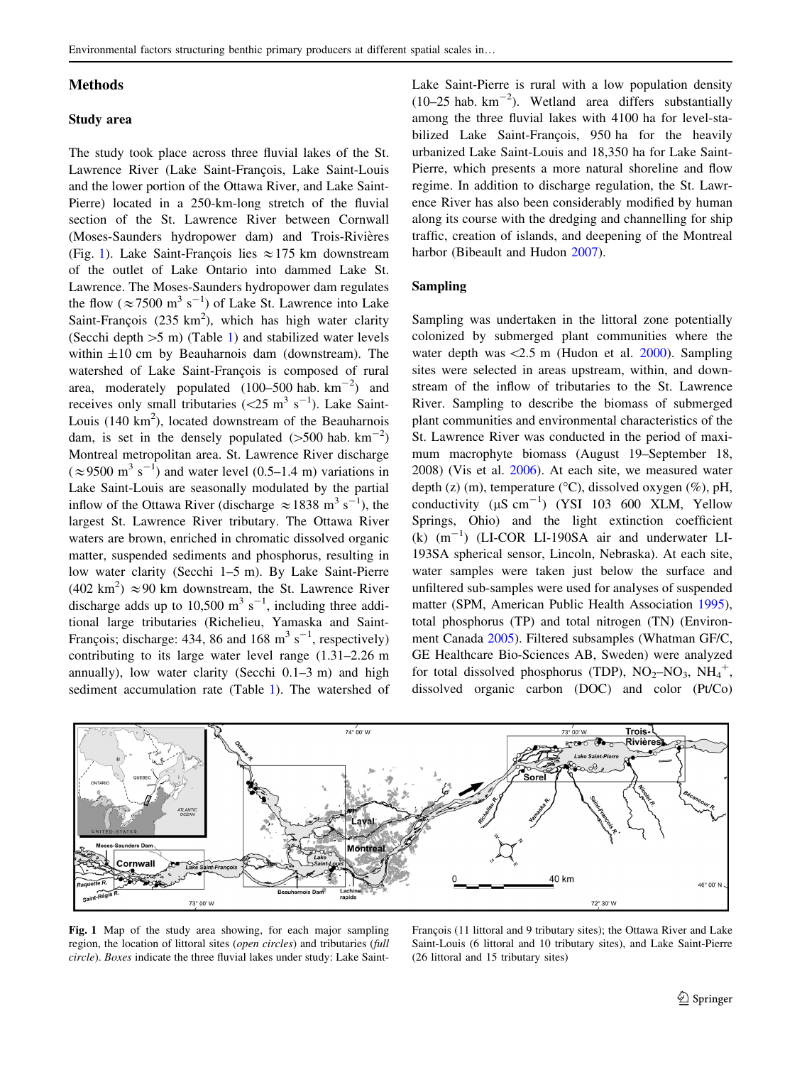#### <span id="page-2-0"></span>Methods

#### Study area

The study took place across three fluvial lakes of the St. Lawrence River (Lake Saint-François, Lake Saint-Louis and the lower portion of the Ottawa River, and Lake Saint-Pierre) located in a 250-km-long stretch of the fluvial section of the St. Lawrence River between Cornwall (Moses-Saunders hydropower dam) and Trois-Rivières (Fig. 1). Lake Saint-François lies  $\approx$  175 km downstream of the outlet of Lake Ontario into dammed Lake St. Lawrence. The Moses-Saunders hydropower dam regulates the flow ( $\approx$  7500 m<sup>3</sup> s<sup>-1</sup>) of Lake St. Lawrence into Lake Saint-François (235  $km^2$ ), which has high water clarity (Secchi depth  $>5$  m) (Table [1\)](#page-3-0) and stabilized water levels within  $\pm 10$  cm by Beauharnois dam (downstream). The watershed of Lake Saint-François is composed of rural area, moderately populated  $(100-500 \text{ hab. km}^{-2})$  and receives only small tributaries  $(<25 \text{ m}^3 \text{ s}^{-1})$ . Lake Saint-Louis  $(140 \text{ km}^2)$ , located downstream of the Beauharnois dam, is set in the densely populated  $(>500 \text{ hab. km}^{-2})$ Montreal metropolitan area. St. Lawrence River discharge  $(\approx 9500 \text{ m}^3 \text{ s}^{-1})$  and water level (0.5–1.4 m) variations in Lake Saint-Louis are seasonally modulated by the partial inflow of the Ottawa River (discharge  $\approx 1838$  m<sup>3</sup> s<sup>-1</sup>), the largest St. Lawrence River tributary. The Ottawa River waters are brown, enriched in chromatic dissolved organic matter, suspended sediments and phosphorus, resulting in low water clarity (Secchi 1–5 m). By Lake Saint-Pierre  $(402 \text{ km}^2) \approx 90 \text{ km}$  downstream, the St. Lawrence River discharge adds up to 10,500  $\text{m}^3$  s<sup>-1</sup>, including three additional large tributaries (Richelieu, Yamaska and Saint-François; discharge: 434, 86 and 168 m<sup>3</sup> s<sup>-1</sup>, respectively) contributing to its large water level range (1.31–2.26 m annually), low water clarity (Secchi 0.1–3 m) and high sediment accumulation rate (Table [1\)](#page-3-0). The watershed of Lake Saint-Pierre is rural with a low population density  $(10-25$  hab.  $km^{-2}$ ). Wetland area differs substantially among the three fluvial lakes with 4100 ha for level-stabilized Lake Saint-François, 950 ha for the heavily urbanized Lake Saint-Louis and 18,350 ha for Lake Saint-Pierre, which presents a more natural shoreline and flow regime. In addition to discharge regulation, the St. Lawrence River has also been considerably modified by human along its course with the dredging and channelling for ship traffic, creation of islands, and deepening of the Montreal harbor (Bibeault and Hudon [2007](#page-10-0)).

## Sampling

Sampling was undertaken in the littoral zone potentially colonized by submerged plant communities where the water depth was  $\langle 2.5 \text{ m}$  (Hudon et al. [2000](#page-10-0)). Sampling sites were selected in areas upstream, within, and downstream of the inflow of tributaries to the St. Lawrence River. Sampling to describe the biomass of submerged plant communities and environmental characteristics of the St. Lawrence River was conducted in the period of maximum macrophyte biomass (August 19–September 18, 2008) (Vis et al. [2006\)](#page-11-0). At each site, we measured water depth (z) (m), temperature ( $\rm{^{\circ}C}$ ), dissolved oxygen (%), pH, conductivity  $(\mu S \text{ cm}^{-1})$  (YSI 103 600 XLM, Yellow Springs, Ohio) and the light extinction coefficient  $(k)$   $(m^{-1})$  (LI-COR LI-190SA air and underwater LI-193SA spherical sensor, Lincoln, Nebraska). At each site, water samples were taken just below the surface and unfiltered sub-samples were used for analyses of suspended matter (SPM, American Public Health Association [1995](#page-10-0)), total phosphorus (TP) and total nitrogen (TN) (Environment Canada [2005](#page-10-0)). Filtered subsamples (Whatman GF/C, GE Healthcare Bio-Sciences AB, Sweden) were analyzed for total dissolved phosphorus (TDP),  $NO<sub>2</sub>–NO<sub>3</sub>$ ,  $NH<sub>4</sub><sup>+</sup>$ , dissolved organic carbon (DOC) and color (Pt/Co)



Fig. 1 Map of the study area showing, for each major sampling region, the location of littoral sites (open circles) and tributaries (full circle). Boxes indicate the three fluvial lakes under study: Lake Saint-

François (11 littoral and 9 tributary sites); the Ottawa River and Lake Saint-Louis (6 littoral and 10 tributary sites), and Lake Saint-Pierre (26 littoral and 15 tributary sites)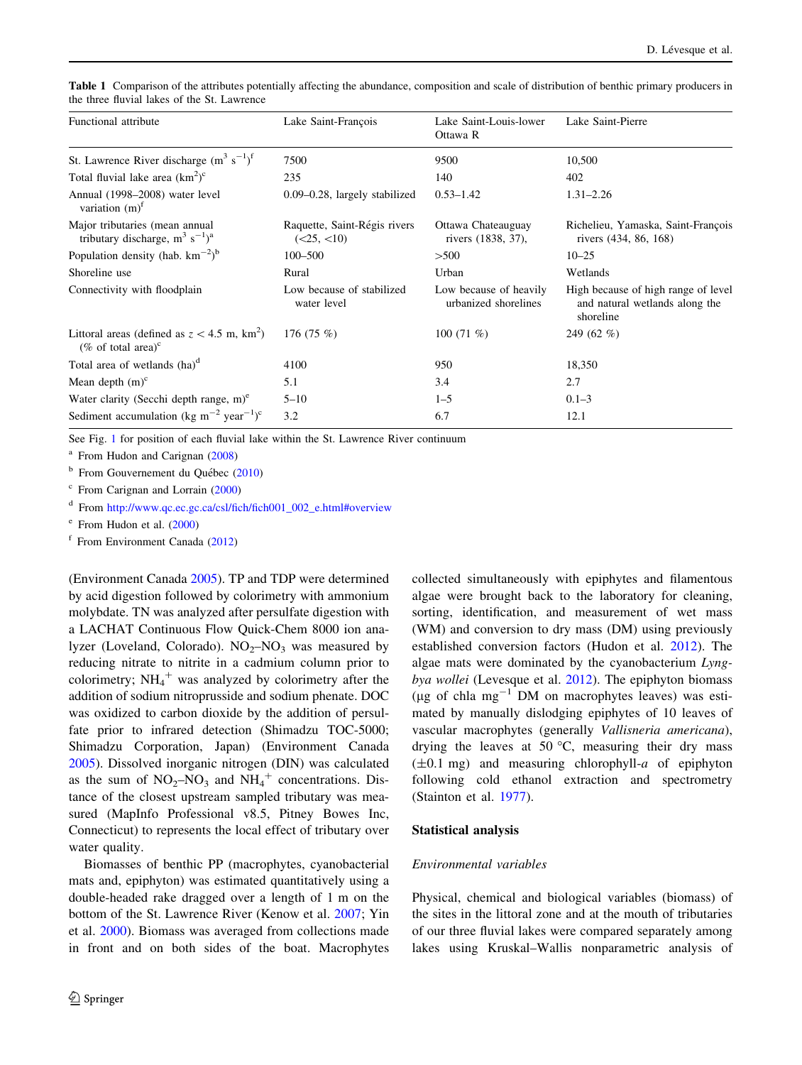| Functional attribute                                                                     | Lake Saint-François                        | Lake Saint-Louis-lower<br>Ottawa R             | Lake Saint-Pierre                                                                  |  |  |
|------------------------------------------------------------------------------------------|--------------------------------------------|------------------------------------------------|------------------------------------------------------------------------------------|--|--|
| St. Lawrence River discharge $(m^3 s^{-1})^f$                                            | 7500                                       | 9500                                           | 10,500                                                                             |  |  |
| Total fluvial lake area $(km^2)^c$                                                       | 235                                        | 140                                            | 402                                                                                |  |  |
| Annual (1998–2008) water level<br>variation $(m)^f$                                      | $0.09 - 0.28$ , largely stabilized         | $0.53 - 1.42$                                  | $1.31 - 2.26$                                                                      |  |  |
| Major tributaries (mean annual<br>tributary discharge, $m^3 s^{-1}$ <sup>a</sup>         | Raquette, Saint-Régis rivers<br>(<25, <10) | Ottawa Chateauguay<br>rivers (1838, 37),       | Richelieu, Yamaska, Saint-François<br>rivers (434, 86, 168)                        |  |  |
| Population density (hab. $km^{-2}$ ) <sup>b</sup>                                        | $100 - 500$                                | >500                                           | $10 - 25$                                                                          |  |  |
| Shoreline use                                                                            | Rural                                      | Urban                                          | Wetlands                                                                           |  |  |
| Connectivity with floodplain                                                             | Low because of stabilized<br>water level   | Low because of heavily<br>urbanized shorelines | High because of high range of level<br>and natural wetlands along the<br>shoreline |  |  |
| Littoral areas (defined as $z < 4.5$ m, km <sup>2</sup> )<br>(% of total area) $\rm{^c}$ | 176 $(75\%)$                               | 100 $(71\%$                                    | 249 $(62 \% )$                                                                     |  |  |
| Total area of wetlands (ha) <sup>d</sup>                                                 | 4100                                       | 950                                            | 18,350                                                                             |  |  |
| Mean depth $(m)^c$                                                                       | 5.1                                        | 3.4                                            | 2.7                                                                                |  |  |
| Water clarity (Secchi depth range, $m$ ) <sup>e</sup>                                    | $5 - 10$                                   | $1 - 5$                                        | $0.1 - 3$                                                                          |  |  |
| Sediment accumulation (kg m <sup>-2</sup> year <sup>-1</sup> ) <sup>c</sup>              | 3.2                                        | 6.7                                            | 12.1                                                                               |  |  |

<span id="page-3-0"></span>Table 1 Comparison of the attributes potentially affecting the abundance, composition and scale of distribution of benthic primary producers in the three fluvial lakes of the St. Lawrence

See Fig. [1](#page-2-0) for position of each fluvial lake within the St. Lawrence River continuum

 $a$  From Hudon and Carignan [\(2008\)](#page-10-0)

 $<sup>b</sup>$  From Gouvernement du Québec ([2010\)](#page-10-0)</sup>

<sup>c</sup> From Carignan and Lorrain [\(2000](#page-10-0))

<sup>d</sup> From [http://www.qc.ec.gc.ca/csl/fich/fich001\\_002\\_e.html#overview](http://www.qc.ec.gc.ca/csl/fich/fich001_002_e.html%23overview)

<sup>e</sup> From Hudon et al. [\(2000](#page-10-0))

 $f$  From Environment Canada ([2012\)](#page-10-0)

(Environment Canada [2005\)](#page-10-0). TP and TDP were determined by acid digestion followed by colorimetry with ammonium molybdate. TN was analyzed after persulfate digestion with a LACHAT Continuous Flow Quick-Chem 8000 ion analyzer (Loveland, Colorado).  $NO<sub>2</sub>–NO<sub>3</sub>$  was measured by reducing nitrate to nitrite in a cadmium column prior to colorimetry;  $NH_4$ <sup>+</sup> was analyzed by colorimetry after the addition of sodium nitroprusside and sodium phenate. DOC was oxidized to carbon dioxide by the addition of persulfate prior to infrared detection (Shimadzu TOC-5000; Shimadzu Corporation, Japan) (Environment Canada [2005\)](#page-10-0). Dissolved inorganic nitrogen (DIN) was calculated as the sum of  $NO<sub>2</sub>-NO<sub>3</sub>$  and  $NH<sub>4</sub><sup>+</sup>$  concentrations. Distance of the closest upstream sampled tributary was measured (MapInfo Professional v8.5, Pitney Bowes Inc, Connecticut) to represents the local effect of tributary over water quality.

Biomasses of benthic PP (macrophytes, cyanobacterial mats and, epiphyton) was estimated quantitatively using a double-headed rake dragged over a length of 1 m on the bottom of the St. Lawrence River (Kenow et al. [2007](#page-11-0); Yin et al. [2000](#page-11-0)). Biomass was averaged from collections made in front and on both sides of the boat. Macrophytes

collected simultaneously with epiphytes and filamentous algae were brought back to the laboratory for cleaning, sorting, identification, and measurement of wet mass (WM) and conversion to dry mass (DM) using previously established conversion factors (Hudon et al. [2012](#page-10-0)). The algae mats were dominated by the cyanobacterium Lyngbya wollei (Levesque et al. [2012](#page-11-0)). The epiphyton biomass ( $\mu$ g of chla mg<sup>-1</sup> DM on macrophytes leaves) was estimated by manually dislodging epiphytes of 10 leaves of vascular macrophytes (generally Vallisneria americana), drying the leaves at 50  $\degree$ C, measuring their dry mass  $(\pm 0.1 \text{ mg})$  and measuring chlorophyll-a of epiphyton following cold ethanol extraction and spectrometry (Stainton et al. [1977\)](#page-11-0).

#### Statistical analysis

## Environmental variables

Physical, chemical and biological variables (biomass) of the sites in the littoral zone and at the mouth of tributaries of our three fluvial lakes were compared separately among lakes using Kruskal–Wallis nonparametric analysis of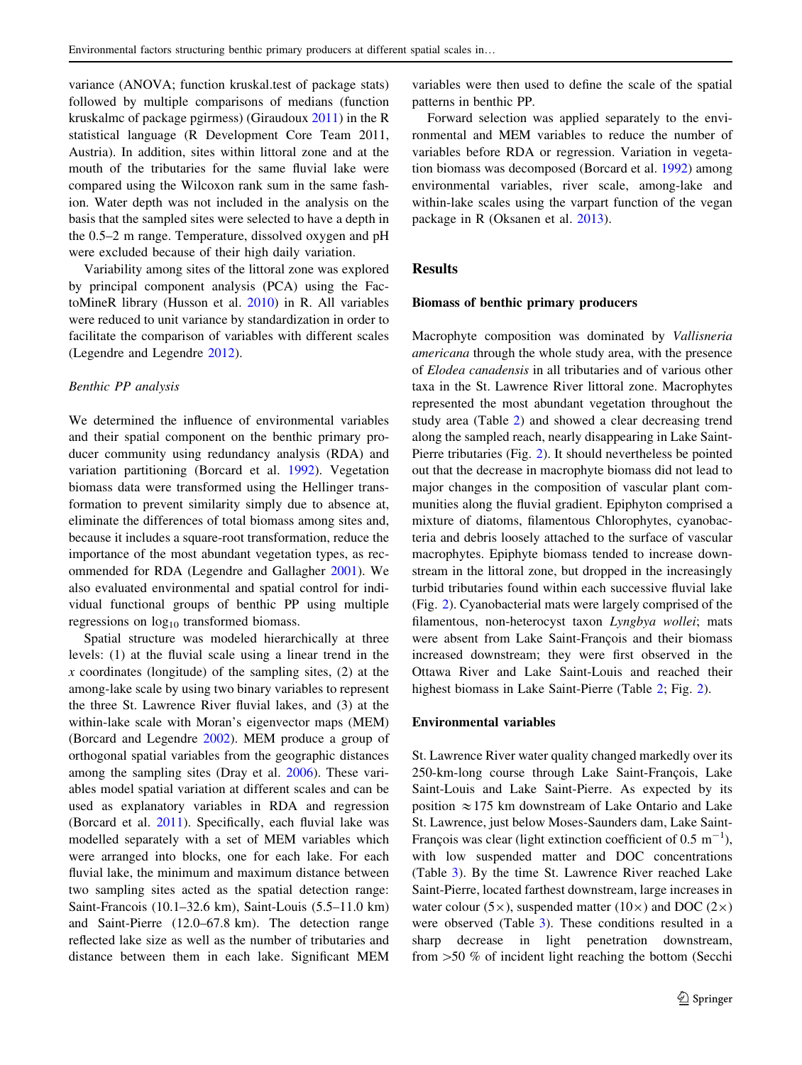variance (ANOVA; function kruskal.test of package stats) followed by multiple comparisons of medians (function kruskalmc of package pgirmess) (Giraudoux [2011\)](#page-10-0) in the R statistical language (R Development Core Team 2011, Austria). In addition, sites within littoral zone and at the mouth of the tributaries for the same fluvial lake were compared using the Wilcoxon rank sum in the same fashion. Water depth was not included in the analysis on the basis that the sampled sites were selected to have a depth in the 0.5–2 m range. Temperature, dissolved oxygen and pH were excluded because of their high daily variation.

Variability among sites of the littoral zone was explored by principal component analysis (PCA) using the FactoMineR library (Husson et al. [2010\)](#page-11-0) in R. All variables were reduced to unit variance by standardization in order to facilitate the comparison of variables with different scales (Legendre and Legendre [2012](#page-11-0)).

#### Benthic PP analysis

We determined the influence of environmental variables and their spatial component on the benthic primary producer community using redundancy analysis (RDA) and variation partitioning (Borcard et al. [1992\)](#page-10-0). Vegetation biomass data were transformed using the Hellinger transformation to prevent similarity simply due to absence at, eliminate the differences of total biomass among sites and, because it includes a square-root transformation, reduce the importance of the most abundant vegetation types, as recommended for RDA (Legendre and Gallagher [2001\)](#page-11-0). We also evaluated environmental and spatial control for individual functional groups of benthic PP using multiple regressions on  $log_{10}$  transformed biomass.

Spatial structure was modeled hierarchically at three levels: (1) at the fluvial scale using a linear trend in the  $x$  coordinates (longitude) of the sampling sites,  $(2)$  at the among-lake scale by using two binary variables to represent the three St. Lawrence River fluvial lakes, and (3) at the within-lake scale with Moran's eigenvector maps (MEM) (Borcard and Legendre [2002\)](#page-10-0). MEM produce a group of orthogonal spatial variables from the geographic distances among the sampling sites (Dray et al. [2006\)](#page-10-0). These variables model spatial variation at different scales and can be used as explanatory variables in RDA and regression (Borcard et al. [2011](#page-10-0)). Specifically, each fluvial lake was modelled separately with a set of MEM variables which were arranged into blocks, one for each lake. For each fluvial lake, the minimum and maximum distance between two sampling sites acted as the spatial detection range: Saint-Francois (10.1–32.6 km), Saint-Louis (5.5–11.0 km) and Saint-Pierre (12.0–67.8 km). The detection range reflected lake size as well as the number of tributaries and distance between them in each lake. Significant MEM variables were then used to define the scale of the spatial patterns in benthic PP.

Forward selection was applied separately to the environmental and MEM variables to reduce the number of variables before RDA or regression. Variation in vegetation biomass was decomposed (Borcard et al. [1992](#page-10-0)) among environmental variables, river scale, among-lake and within-lake scales using the varpart function of the vegan package in R (Oksanen et al. [2013\)](#page-11-0).

#### **Results**

#### Biomass of benthic primary producers

Macrophyte composition was dominated by Vallisneria americana through the whole study area, with the presence of Elodea canadensis in all tributaries and of various other taxa in the St. Lawrence River littoral zone. Macrophytes represented the most abundant vegetation throughout the study area (Table [2](#page-5-0)) and showed a clear decreasing trend along the sampled reach, nearly disappearing in Lake Saint-Pierre tributaries (Fig. [2](#page-6-0)). It should nevertheless be pointed out that the decrease in macrophyte biomass did not lead to major changes in the composition of vascular plant communities along the fluvial gradient. Epiphyton comprised a mixture of diatoms, filamentous Chlorophytes, cyanobacteria and debris loosely attached to the surface of vascular macrophytes. Epiphyte biomass tended to increase downstream in the littoral zone, but dropped in the increasingly turbid tributaries found within each successive fluvial lake (Fig. [2\)](#page-6-0). Cyanobacterial mats were largely comprised of the filamentous, non-heterocyst taxon Lyngbya wollei; mats were absent from Lake Saint-François and their biomass increased downstream; they were first observed in the Ottawa River and Lake Saint-Louis and reached their highest biomass in Lake Saint-Pierre (Table [2;](#page-5-0) Fig. [2\)](#page-6-0).

#### Environmental variables

St. Lawrence River water quality changed markedly over its 250-km-long course through Lake Saint-François, Lake Saint-Louis and Lake Saint-Pierre. As expected by its position  $\approx$  175 km downstream of Lake Ontario and Lake St. Lawrence, just below Moses-Saunders dam, Lake Saint-François was clear (light extinction coefficient of 0.5  $m^{-1}$ ), with low suspended matter and DOC concentrations (Table [3\)](#page-7-0). By the time St. Lawrence River reached Lake Saint-Pierre, located farthest downstream, large increases in water colour (5 $\times$ ), suspended matter (10 $\times$ ) and DOC (2 $\times$ ) were observed (Table [3](#page-7-0)). These conditions resulted in a sharp decrease in light penetration downstream, from  $>50$  % of incident light reaching the bottom (Secchi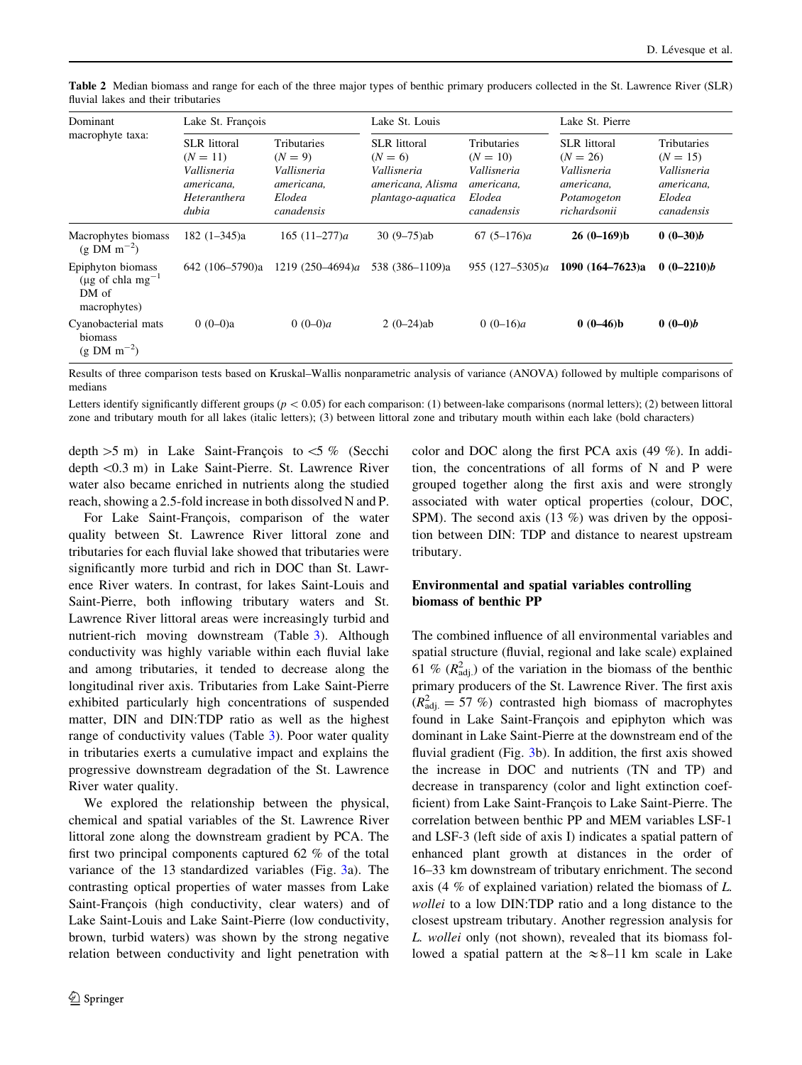| Dominant<br>macrophyte taxa:                                               | Lake St. François                                                                       |                                                                                      | Lake St. Louis                                                                            |                                                                                       | Lake St. Pierre                                                                               |                                                                                |  |
|----------------------------------------------------------------------------|-----------------------------------------------------------------------------------------|--------------------------------------------------------------------------------------|-------------------------------------------------------------------------------------------|---------------------------------------------------------------------------------------|-----------------------------------------------------------------------------------------------|--------------------------------------------------------------------------------|--|
|                                                                            | <b>SLR</b> littoral<br>$(N = 11)$<br>Vallisneria<br>americana,<br>Heteranthera<br>dubia | <b>Tributaries</b><br>$(N = 9)$<br>Vallisneria<br>americana,<br>Elodea<br>canadensis | <b>SLR</b> littoral<br>$(N = 6)$<br>Vallisneria<br>americana, Alisma<br>plantago-aquatica | <b>Tributaries</b><br>$(N = 10)$<br>Vallisneria<br>americana,<br>Elodea<br>canadensis | <b>SLR</b> littoral<br>$(N = 26)$<br>Vallisneria<br>americana,<br>Potamogeton<br>richardsonii | Tributaries<br>$(N = 15)$<br>Vallisneria<br>americana,<br>Elodea<br>canadensis |  |
| Macrophytes biomass<br>$(g \text{ DM m}^{-2})$                             | $182(1-345)a$                                                                           | 165 $(11-277)a$                                                                      | $30(9 - 75)$ ab                                                                           | $67(5-176)a$                                                                          | $26(0-169)b$                                                                                  | $0(0-30)b$                                                                     |  |
| Epiphyton biomass<br>(µg of chla mg <sup>-1</sup><br>DM of<br>macrophytes) | 642 (106–5790)a                                                                         | 1219 $(250-4694)a$                                                                   | 538 (386–1109)a                                                                           | 955 $(127-5305)a$                                                                     | 1090 $(164 - 7623)a$                                                                          | $0(0-2210)b$                                                                   |  |
| Cyanobacterial mats<br>biomass<br>$(g DM m^{-2})$                          | $0(0-0)a$                                                                               | 0 $(0-0)a$                                                                           | $2(0-24)ab$                                                                               | 0 $(0-16)a$                                                                           | $0(0-46)b$                                                                                    | $0(0-0)b$                                                                      |  |

<span id="page-5-0"></span>Table 2 Median biomass and range for each of the three major types of benthic primary producers collected in the St. Lawrence River (SLR) fluvial lakes and their tributaries

Results of three comparison tests based on Kruskal–Wallis nonparametric analysis of variance (ANOVA) followed by multiple comparisons of medians

Letters identify significantly different groups ( $p < 0.05$ ) for each comparison: (1) between-lake comparisons (normal letters); (2) between littoral zone and tributary mouth for all lakes (italic letters); (3) between littoral zone and tributary mouth within each lake (bold characters)

depth  $>5$  m) in Lake Saint-François to  $<5$  % (Secchi depth \0.3 m) in Lake Saint-Pierre. St. Lawrence River water also became enriched in nutrients along the studied reach, showing a 2.5-fold increase in both dissolved N and P.

For Lake Saint-François, comparison of the water quality between St. Lawrence River littoral zone and tributaries for each fluvial lake showed that tributaries were significantly more turbid and rich in DOC than St. Lawrence River waters. In contrast, for lakes Saint-Louis and Saint-Pierre, both inflowing tributary waters and St. Lawrence River littoral areas were increasingly turbid and nutrient-rich moving downstream (Table [3\)](#page-7-0). Although conductivity was highly variable within each fluvial lake and among tributaries, it tended to decrease along the longitudinal river axis. Tributaries from Lake Saint-Pierre exhibited particularly high concentrations of suspended matter, DIN and DIN:TDP ratio as well as the highest range of conductivity values (Table [3\)](#page-7-0). Poor water quality in tributaries exerts a cumulative impact and explains the progressive downstream degradation of the St. Lawrence River water quality.

We explored the relationship between the physical, chemical and spatial variables of the St. Lawrence River littoral zone along the downstream gradient by PCA. The first two principal components captured 62 % of the total variance of the 13 standardized variables (Fig. [3](#page-8-0)a). The contrasting optical properties of water masses from Lake Saint-François (high conductivity, clear waters) and of Lake Saint-Louis and Lake Saint-Pierre (low conductivity, brown, turbid waters) was shown by the strong negative relation between conductivity and light penetration with color and DOC along the first PCA axis (49 %). In addition, the concentrations of all forms of N and P were grouped together along the first axis and were strongly associated with water optical properties (colour, DOC, SPM). The second axis  $(13 \%)$  was driven by the opposition between DIN: TDP and distance to nearest upstream tributary.

# Environmental and spatial variables controlling biomass of benthic PP

The combined influence of all environmental variables and spatial structure (fluvial, regional and lake scale) explained 61 %  $(R_{\text{adj}}^2)$  of the variation in the biomass of the benthic primary producers of the St. Lawrence River. The first axis  $(R<sub>adj.</sub><sup>2</sup> = 57 %)$  contrasted high biomass of macrophytes found in Lake Saint-François and epiphyton which was dominant in Lake Saint-Pierre at the downstream end of the fluvial gradient (Fig. [3b](#page-8-0)). In addition, the first axis showed the increase in DOC and nutrients (TN and TP) and decrease in transparency (color and light extinction coefficient) from Lake Saint-François to Lake Saint-Pierre. The correlation between benthic PP and MEM variables LSF-1 and LSF-3 (left side of axis I) indicates a spatial pattern of enhanced plant growth at distances in the order of 16–33 km downstream of tributary enrichment. The second axis (4 % of explained variation) related the biomass of L. wollei to a low DIN:TDP ratio and a long distance to the closest upstream tributary. Another regression analysis for L. wollei only (not shown), revealed that its biomass followed a spatial pattern at the  $\approx 8-11$  km scale in Lake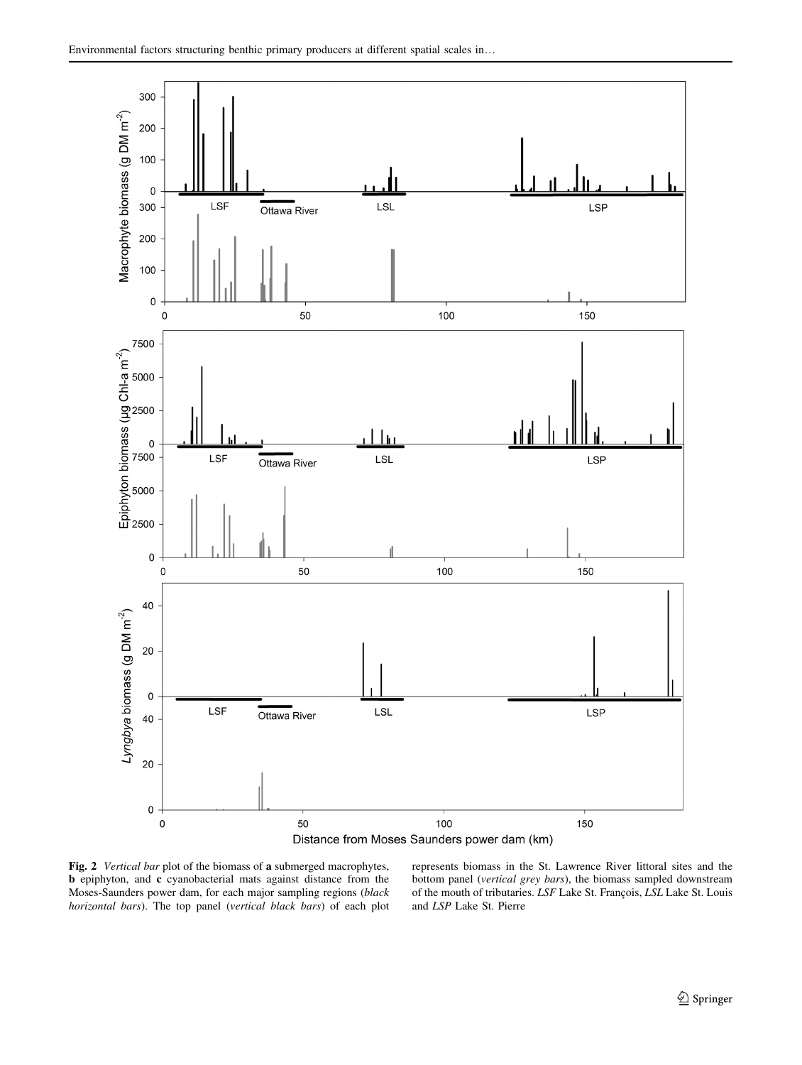<span id="page-6-0"></span>



Fig. 2 Vertical bar plot of the biomass of a submerged macrophytes, b epiphyton, and c cyanobacterial mats against distance from the Moses-Saunders power dam, for each major sampling regions (black horizontal bars). The top panel (vertical black bars) of each plot

represents biomass in the St. Lawrence River littoral sites and the bottom panel (vertical grey bars), the biomass sampled downstream of the mouth of tributaries. LSF Lake St. François, LSL Lake St. Louis and LSP Lake St. Pierre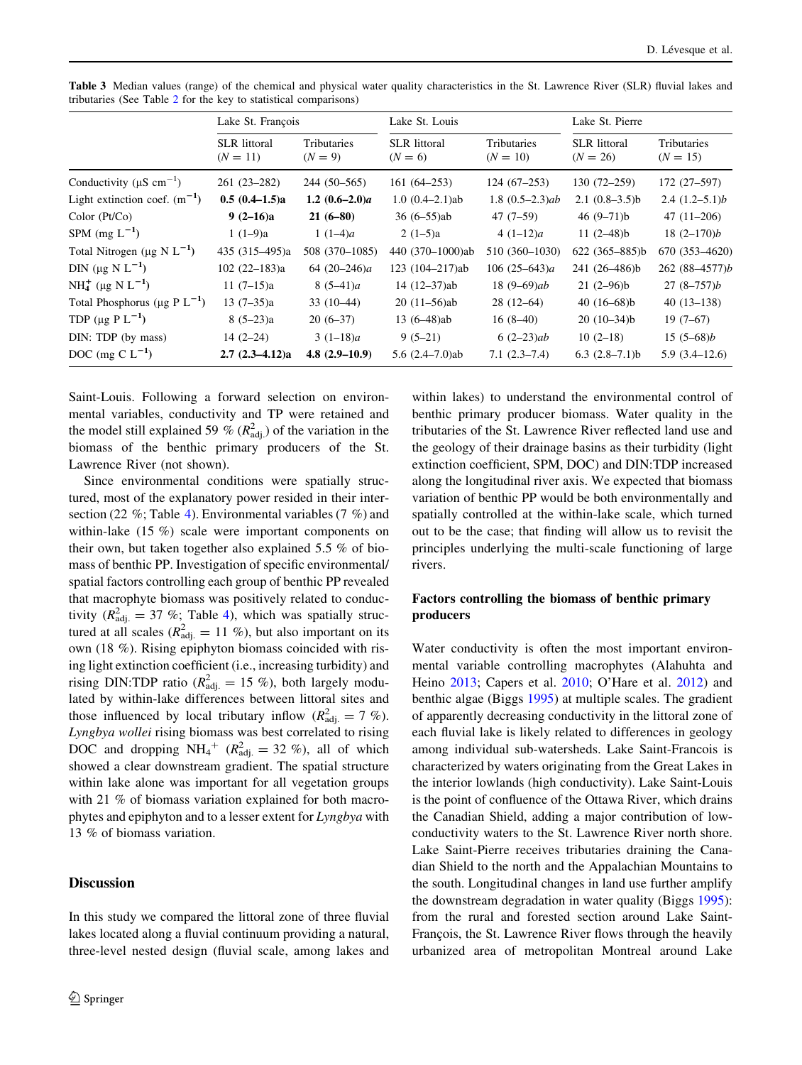|                                                | Lake St. François                 |                          | Lake St. Louis                   |                           | Lake St. Pierre                   |                           |  |
|------------------------------------------------|-----------------------------------|--------------------------|----------------------------------|---------------------------|-----------------------------------|---------------------------|--|
|                                                | <b>SLR</b> littoral<br>$(N = 11)$ | Tributaries<br>$(N = 9)$ | <b>SLR</b> littoral<br>$(N = 6)$ | Tributaries<br>$(N = 10)$ | <b>SLR</b> littoral<br>$(N = 26)$ | Tributaries<br>$(N = 15)$ |  |
| Conductivity ( $\mu$ S cm <sup>-1</sup> )      | $261(23-282)$                     | $244(50-565)$            | $161(64 - 253)$                  | $124(67-253)$             | $130(72 - 259)$                   | 172 (27–597)              |  |
| Light extinction coef. $(m^{-1})$              | $0.5(0.4-1.5)a$                   | 1.2 $(0.6-2.0)a$         | $1.0(0.4-2.1)$ ab                | $1.8(0.5-2.3)ab$          | $2.1(0.8-3.5)b$                   | $2.4(1.2-5.1)b$           |  |
| Color (Pt/Co)                                  | $9(2-16)a$                        | $21(6 - 80)$             | $36(6-55)ab$                     | $47(7-59)$                | 46 $(9-71)b$                      | $47(11-206)$              |  |
| SPM $(mg L^{-1})$                              | $1(1-9)a$                         | 1 $(1-4)a$               | $2(1-5)a$                        | $4(1-12)a$                | 11 $(2-48)b$                      | $18(2-170)b$              |  |
| Total Nitrogen ( $\mu$ g N L <sup>-1</sup> )   | 435 (315–495)a                    | 508 (370-1085)           | 440 (370-1000)ab                 | 510 (360-1030)            | $622(365 - 885)b$                 | 670 (353-4620)            |  |
| DIN ( $\mu$ g N L <sup>-1</sup> )              | $102(22-183)a$                    | 64 $(20-246)a$           | 123 (104-217)ab                  | 106 $(25-643)a$           | 241 (26-486)b                     | $262(88-4577)b$           |  |
| NH <sub>4</sub> (µg N L <sup>-1</sup> )        | $11(7-15)a$                       | $8(5-41)a$               | $14(12-37)ab$                    | 18 $(9-69)ab$             | $21(2-96)b$                       | $27(8-757)b$              |  |
| Total Phosphorus ( $\mu$ g P L <sup>-1</sup> ) | $13(7-35)a$                       | $33(10-44)$              | $20(11-56)ab$                    | $28(12-64)$               | 40 $(16-68)$ b                    | $40(13-138)$              |  |
| TDP ( $\mu$ g P L <sup>-1</sup> )              | $8(5-23)a$                        | $20(6-37)$               | $13(6-48)ab$                     | $16(8-40)$                | $20(10-34)b$                      | $19(7-67)$                |  |
| DIN: TDP (by mass)                             | $14(2-24)$                        | $3(1-18)a$               | $9(5-21)$                        | $6(2-23)ab$               | $10(2-18)$                        | $15(5-68)b$               |  |
| DOC (mg C $L^{-1}$ )                           | $2.7(2.3-4.12)a$                  | $4.8(2.9-10.9)$          | 5.6 $(2.4 - 7.0)$ ab             | $7.1(2.3-7.4)$            | $6.3$ $(2.8-7.1)$ b               | $5.9(3.4-12.6)$           |  |

<span id="page-7-0"></span>Table 3 Median values (range) of the chemical and physical water quality characteristics in the St. Lawrence River (SLR) fluvial lakes and tributaries (See Table [2](#page-5-0) for the key to statistical comparisons)

Saint-Louis. Following a forward selection on environmental variables, conductivity and TP were retained and the model still explained 59 %  $(R<sub>adj</sub><sup>2</sup>)$  of the variation in the biomass of the benthic primary producers of the St. Lawrence River (not shown).

Since environmental conditions were spatially structured, most of the explanatory power resided in their intersection (22 %; Table [4](#page-9-0)). Environmental variables (7 %) and within-lake (15 %) scale were important components on their own, but taken together also explained 5.5 % of biomass of benthic PP. Investigation of specific environmental/ spatial factors controlling each group of benthic PP revealed that macrophyte biomass was positively related to conductivity ( $R_{\text{adj.}}^2 = 37$  %; Table [4\)](#page-9-0), which was spatially structured at all scales ( $R_{\text{adj.}}^2 = 11 \%$ ), but also important on its own (18 %). Rising epiphyton biomass coincided with rising light extinction coefficient (i.e., increasing turbidity) and rising DIN:TDP ratio ( $R_{\text{adj.}}^2 = 15$  %), both largely modulated by within-lake differences between littoral sites and those influenced by local tributary inflow  $(R_{\text{adj.}}^2 = 7 \%)$ . Lyngbya wollei rising biomass was best correlated to rising DOC and dropping  $NH_4^+$  ( $R_{\text{adj.}}^2 = 32$  %), all of which showed a clear downstream gradient. The spatial structure within lake alone was important for all vegetation groups with 21 % of biomass variation explained for both macrophytes and epiphyton and to a lesser extent for Lyngbya with 13 % of biomass variation.

## **Discussion**

In this study we compared the littoral zone of three fluvial lakes located along a fluvial continuum providing a natural, three-level nested design (fluvial scale, among lakes and

within lakes) to understand the environmental control of benthic primary producer biomass. Water quality in the tributaries of the St. Lawrence River reflected land use and the geology of their drainage basins as their turbidity (light extinction coefficient, SPM, DOC) and DIN:TDP increased along the longitudinal river axis. We expected that biomass variation of benthic PP would be both environmentally and spatially controlled at the within-lake scale, which turned out to be the case; that finding will allow us to revisit the principles underlying the multi-scale functioning of large rivers.

# Factors controlling the biomass of benthic primary producers

Water conductivity is often the most important environmental variable controlling macrophytes (Alahuhta and Heino [2013](#page-10-0); Capers et al. [2010](#page-10-0); O'Hare et al. [2012\)](#page-11-0) and benthic algae (Biggs [1995\)](#page-10-0) at multiple scales. The gradient of apparently decreasing conductivity in the littoral zone of each fluvial lake is likely related to differences in geology among individual sub-watersheds. Lake Saint-Francois is characterized by waters originating from the Great Lakes in the interior lowlands (high conductivity). Lake Saint-Louis is the point of confluence of the Ottawa River, which drains the Canadian Shield, adding a major contribution of lowconductivity waters to the St. Lawrence River north shore. Lake Saint-Pierre receives tributaries draining the Canadian Shield to the north and the Appalachian Mountains to the south. Longitudinal changes in land use further amplify the downstream degradation in water quality (Biggs [1995](#page-10-0)): from the rural and forested section around Lake Saint-François, the St. Lawrence River flows through the heavily urbanized area of metropolitan Montreal around Lake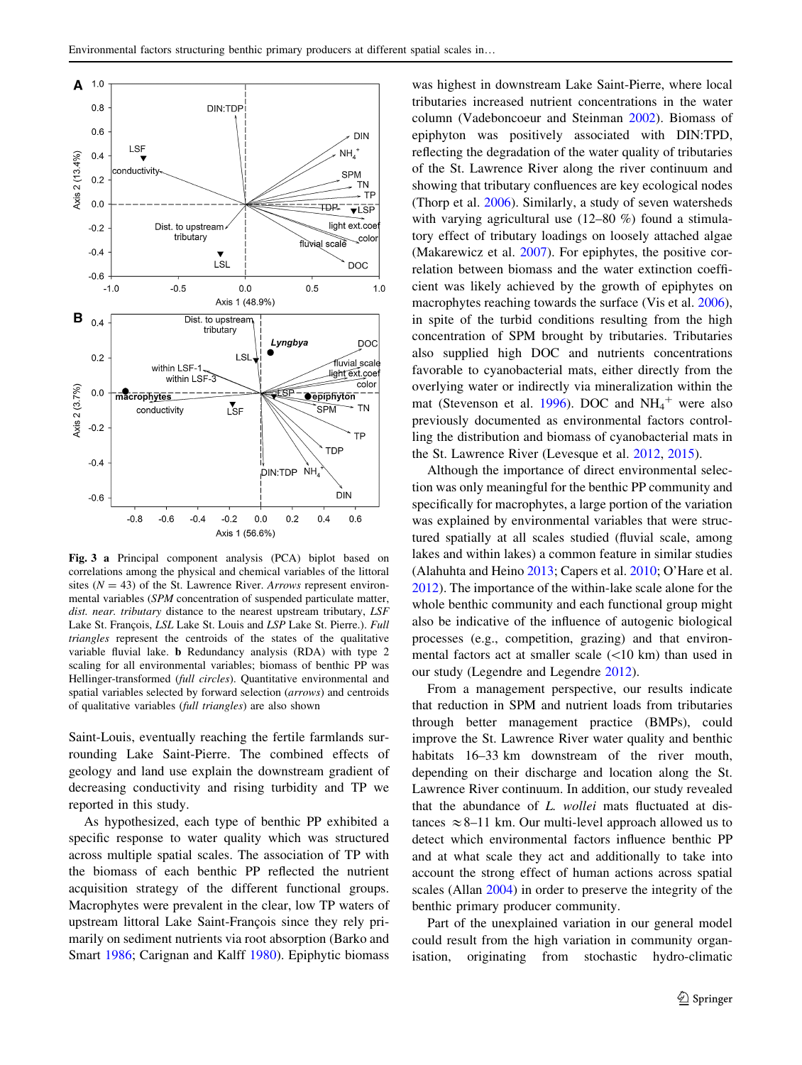<span id="page-8-0"></span>

Fig. 3 a Principal component analysis (PCA) biplot based on correlations among the physical and chemical variables of the littoral sites ( $N = 43$ ) of the St. Lawrence River. Arrows represent environmental variables (SPM concentration of suspended particulate matter, dist. near. tributary distance to the nearest upstream tributary, LSF Lake St. François, LSL Lake St. Louis and LSP Lake St. Pierre.). Full triangles represent the centroids of the states of the qualitative variable fluvial lake. b Redundancy analysis (RDA) with type 2 scaling for all environmental variables; biomass of benthic PP was Hellinger-transformed (full circles). Quantitative environmental and spatial variables selected by forward selection (arrows) and centroids of qualitative variables (full triangles) are also shown

Saint-Louis, eventually reaching the fertile farmlands surrounding Lake Saint-Pierre. The combined effects of geology and land use explain the downstream gradient of decreasing conductivity and rising turbidity and TP we reported in this study.

As hypothesized, each type of benthic PP exhibited a specific response to water quality which was structured across multiple spatial scales. The association of TP with the biomass of each benthic PP reflected the nutrient acquisition strategy of the different functional groups. Macrophytes were prevalent in the clear, low TP waters of upstream littoral Lake Saint-François since they rely primarily on sediment nutrients via root absorption (Barko and Smart [1986;](#page-10-0) Carignan and Kalff [1980](#page-10-0)). Epiphytic biomass was highest in downstream Lake Saint-Pierre, where local tributaries increased nutrient concentrations in the water column (Vadeboncoeur and Steinman [2002](#page-11-0)). Biomass of epiphyton was positively associated with DIN:TPD, reflecting the degradation of the water quality of tributaries of the St. Lawrence River along the river continuum and showing that tributary confluences are key ecological nodes (Thorp et al. [2006\)](#page-11-0). Similarly, a study of seven watersheds with varying agricultural use (12–80 %) found a stimulatory effect of tributary loadings on loosely attached algae (Makarewicz et al. [2007](#page-11-0)). For epiphytes, the positive correlation between biomass and the water extinction coefficient was likely achieved by the growth of epiphytes on macrophytes reaching towards the surface (Vis et al. [2006](#page-11-0)), in spite of the turbid conditions resulting from the high concentration of SPM brought by tributaries. Tributaries also supplied high DOC and nutrients concentrations favorable to cyanobacterial mats, either directly from the overlying water or indirectly via mineralization within the mat (Stevenson et al. [1996\)](#page-11-0). DOC and  $NH_4^+$  were also previously documented as environmental factors controlling the distribution and biomass of cyanobacterial mats in the St. Lawrence River (Levesque et al. [2012,](#page-11-0) [2015](#page-11-0)).

Although the importance of direct environmental selection was only meaningful for the benthic PP community and specifically for macrophytes, a large portion of the variation was explained by environmental variables that were structured spatially at all scales studied (fluvial scale, among lakes and within lakes) a common feature in similar studies (Alahuhta and Heino [2013;](#page-10-0) Capers et al. [2010;](#page-10-0) O'Hare et al. [2012](#page-11-0)). The importance of the within-lake scale alone for the whole benthic community and each functional group might also be indicative of the influence of autogenic biological processes (e.g., competition, grazing) and that environmental factors act at smaller scale  $(<10 \text{ km})$  than used in our study (Legendre and Legendre [2012](#page-11-0)).

From a management perspective, our results indicate that reduction in SPM and nutrient loads from tributaries through better management practice (BMPs), could improve the St. Lawrence River water quality and benthic habitats 16–33 km downstream of the river mouth, depending on their discharge and location along the St. Lawrence River continuum. In addition, our study revealed that the abundance of L. wollei mats fluctuated at distances  $\approx$  8–11 km. Our multi-level approach allowed us to detect which environmental factors influence benthic PP and at what scale they act and additionally to take into account the strong effect of human actions across spatial scales (Allan [2004](#page-10-0)) in order to preserve the integrity of the benthic primary producer community.

Part of the unexplained variation in our general model could result from the high variation in community organisation, originating from stochastic hydro-climatic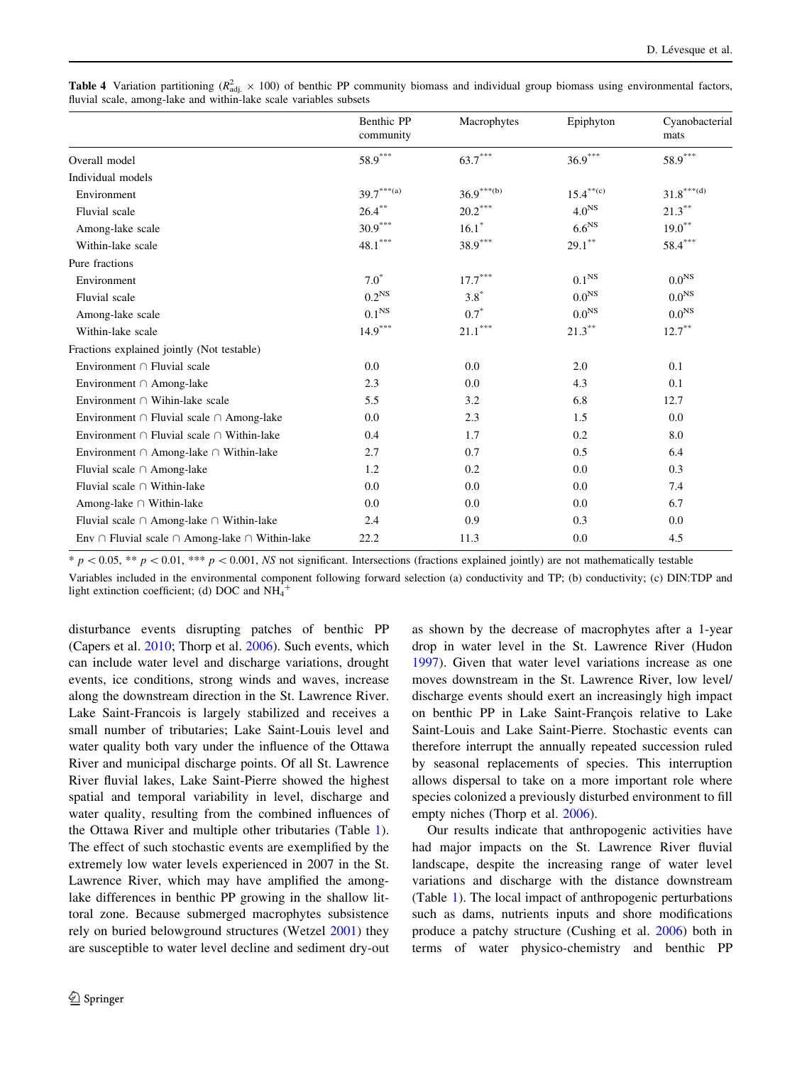<span id="page-9-0"></span>

| <b>Table 4</b> Variation partitioning ( $R_{\text{adj}}^2 \times 100$ ) of benthic PP community biomass and individual group biomass using environmental factors, |  |  |  |  |  |  |
|-------------------------------------------------------------------------------------------------------------------------------------------------------------------|--|--|--|--|--|--|
| fluvial scale, among-lake and within-lake scale variables subsets                                                                                                 |  |  |  |  |  |  |

|                                                               | Benthic PP<br>community | Macrophytes           | Epiphyton         | Cyanobacterial<br>mats                         |
|---------------------------------------------------------------|-------------------------|-----------------------|-------------------|------------------------------------------------|
| Overall model                                                 | $58.9^{\ast\ast\ast}$   | $63.7***$             | $36.9***$         | $58.9***$                                      |
| Individual models                                             |                         |                       |                   |                                                |
| Environment                                                   | $39.7***(a)$            | $36.9***^{(b)}$       | $15.4^{** (c)}$   | $31.8^{\ast\ast\ast\left( \mathrm{d}\right) }$ |
| Fluvial scale                                                 | $26.4***$               | $20.2^{\ast\ast\ast}$ | 4.0 <sup>NS</sup> | $21.3***$                                      |
| Among-lake scale                                              | $30.9***$               | $16.1*$               | 6.6 <sup>NS</sup> | $19.0***$                                      |
| Within-lake scale                                             | $48.1***$               | $38.9***$             | $29.1***$         | $58.4^{\ast\ast\ast}$                          |
| Pure fractions                                                |                         |                       |                   |                                                |
| Environment                                                   | $7.0*$                  | $17.7***$             | 0.1 <sup>NS</sup> | 0.0 <sup>NS</sup>                              |
| Fluvial scale                                                 | 0.2 <sup>NS</sup>       | $3.8*$                | 0.0 <sup>NS</sup> | 0.0 <sup>NS</sup>                              |
| Among-lake scale                                              | $0.1^{\rm NS}$          | $0.7*$                | 0.0 <sup>NS</sup> | 0.0 <sup>NS</sup>                              |
| Within-lake scale                                             | $14.9***$               | $21.1***$             | $21.3***$         | $12.7***$                                      |
| Fractions explained jointly (Not testable)                    |                         |                       |                   |                                                |
| Environment $\cap$ Fluvial scale                              | 0.0                     | 0.0                   | 2.0               | 0.1                                            |
| Environment $\cap$ Among-lake                                 | 2.3                     | 0.0                   | 4.3               | 0.1                                            |
| Environment $\cap$ Wihin-lake scale                           | 5.5                     | 3.2                   | 6.8               | 12.7                                           |
| Environment $\cap$ Fluvial scale $\cap$ Among-lake            | 0.0                     | 2.3                   | 1.5               | 0.0                                            |
| Environment $\cap$ Fluvial scale $\cap$ Within-lake           | 0.4                     | 1.7                   | 0.2               | 8.0                                            |
| Environment $\cap$ Among-lake $\cap$ Within-lake              | 2.7                     | 0.7                   | 0.5               | 6.4                                            |
| Fluvial scale $\cap$ Among-lake                               | 1.2                     | 0.2                   | 0.0               | 0.3                                            |
| Fluvial scale $\cap$ Within-lake                              | 0.0                     | 0.0                   | 0.0               | 7.4                                            |
| Among-lake $\cap$ Within-lake                                 | 0.0                     | 0.0                   | 0.0               | 6.7                                            |
| Fluvial scale $\cap$ Among-lake $\cap$ Within-lake            | 2.4                     | 0.9                   | 0.3               | 0.0                                            |
| Env $\cap$ Fluvial scale $\cap$ Among-lake $\cap$ Within-lake | 22.2                    | 11.3                  | 0.0               | 4.5                                            |

 $* p \lt 0.05$ ,  $** p \lt 0.01$ ,  $** p \lt 0.001$ , NS not significant. Intersections (fractions explained jointly) are not mathematically testable

Variables included in the environmental component following forward selection (a) conductivity and TP; (b) conductivity; (c) DIN:TDP and light extinction coefficient; (d) DOC and  $NH_4^+$ 

disturbance events disrupting patches of benthic PP (Capers et al. [2010](#page-10-0); Thorp et al. [2006\)](#page-11-0). Such events, which can include water level and discharge variations, drought events, ice conditions, strong winds and waves, increase along the downstream direction in the St. Lawrence River. Lake Saint-Francois is largely stabilized and receives a small number of tributaries; Lake Saint-Louis level and water quality both vary under the influence of the Ottawa River and municipal discharge points. Of all St. Lawrence River fluvial lakes, Lake Saint-Pierre showed the highest spatial and temporal variability in level, discharge and water quality, resulting from the combined influences of the Ottawa River and multiple other tributaries (Table [1](#page-3-0)). The effect of such stochastic events are exemplified by the extremely low water levels experienced in 2007 in the St. Lawrence River, which may have amplified the amonglake differences in benthic PP growing in the shallow littoral zone. Because submerged macrophytes subsistence rely on buried belowground structures (Wetzel [2001](#page-11-0)) they are susceptible to water level decline and sediment dry-out

as shown by the decrease of macrophytes after a 1-year drop in water level in the St. Lawrence River (Hudon [1997](#page-10-0)). Given that water level variations increase as one moves downstream in the St. Lawrence River, low level/ discharge events should exert an increasingly high impact on benthic PP in Lake Saint-François relative to Lake Saint-Louis and Lake Saint-Pierre. Stochastic events can therefore interrupt the annually repeated succession ruled by seasonal replacements of species. This interruption allows dispersal to take on a more important role where species colonized a previously disturbed environment to fill empty niches (Thorp et al. [2006](#page-11-0)).

Our results indicate that anthropogenic activities have had major impacts on the St. Lawrence River fluvial landscape, despite the increasing range of water level variations and discharge with the distance downstream (Table [1\)](#page-3-0). The local impact of anthropogenic perturbations such as dams, nutrients inputs and shore modifications produce a patchy structure (Cushing et al. [2006](#page-10-0)) both in terms of water physico-chemistry and benthic PP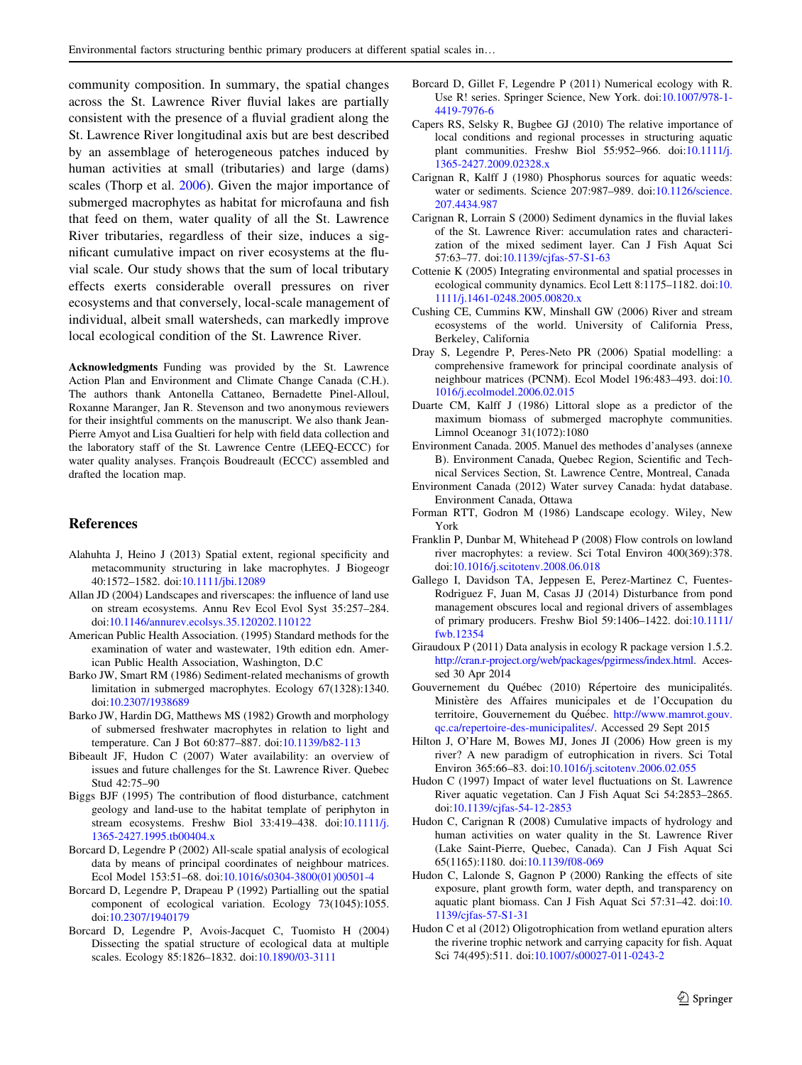<span id="page-10-0"></span>community composition. In summary, the spatial changes across the St. Lawrence River fluvial lakes are partially consistent with the presence of a fluvial gradient along the St. Lawrence River longitudinal axis but are best described by an assemblage of heterogeneous patches induced by human activities at small (tributaries) and large (dams) scales (Thorp et al. [2006](#page-11-0)). Given the major importance of submerged macrophytes as habitat for microfauna and fish that feed on them, water quality of all the St. Lawrence River tributaries, regardless of their size, induces a significant cumulative impact on river ecosystems at the fluvial scale. Our study shows that the sum of local tributary effects exerts considerable overall pressures on river ecosystems and that conversely, local-scale management of individual, albeit small watersheds, can markedly improve local ecological condition of the St. Lawrence River.

Acknowledgments Funding was provided by the St. Lawrence Action Plan and Environment and Climate Change Canada (C.H.). The authors thank Antonella Cattaneo, Bernadette Pinel-Alloul, Roxanne Maranger, Jan R. Stevenson and two anonymous reviewers for their insightful comments on the manuscript. We also thank Jean-Pierre Amyot and Lisa Gualtieri for help with field data collection and the laboratory staff of the St. Lawrence Centre (LEEQ-ECCC) for water quality analyses. François Boudreault (ECCC) assembled and drafted the location map.

#### References

- Alahuhta J, Heino J (2013) Spatial extent, regional specificity and metacommunity structuring in lake macrophytes. J Biogeogr 40:1572–1582. doi[:10.1111/jbi.12089](http://dx.doi.org/10.1111/jbi.12089)
- Allan JD (2004) Landscapes and riverscapes: the influence of land use on stream ecosystems. Annu Rev Ecol Evol Syst 35:257–284. doi[:10.1146/annurev.ecolsys.35.120202.110122](http://dx.doi.org/10.1146/annurev.ecolsys.35.120202.110122)
- American Public Health Association. (1995) Standard methods for the examination of water and wastewater, 19th edition edn. American Public Health Association, Washington, D.C
- Barko JW, Smart RM (1986) Sediment-related mechanisms of growth limitation in submerged macrophytes. Ecology 67(1328):1340. doi[:10.2307/1938689](http://dx.doi.org/10.2307/1938689)
- Barko JW, Hardin DG, Matthews MS (1982) Growth and morphology of submersed freshwater macrophytes in relation to light and temperature. Can J Bot 60:877–887. doi:[10.1139/b82-113](http://dx.doi.org/10.1139/b82-113)
- Bibeault JF, Hudon C (2007) Water availability: an overview of issues and future challenges for the St. Lawrence River. Quebec Stud 42:75–90
- Biggs BJF (1995) The contribution of flood disturbance, catchment geology and land-use to the habitat template of periphyton in stream ecosystems. Freshw Biol 33:419–438. doi:[10.1111/j.](http://dx.doi.org/10.1111/j.1365-2427.1995.tb00404.x) [1365-2427.1995.tb00404.x](http://dx.doi.org/10.1111/j.1365-2427.1995.tb00404.x)
- Borcard D, Legendre P (2002) All-scale spatial analysis of ecological data by means of principal coordinates of neighbour matrices. Ecol Model 153:51–68. doi:[10.1016/s0304-3800\(01\)00501-4](http://dx.doi.org/10.1016/s0304-3800(01)00501-4)
- Borcard D, Legendre P, Drapeau P (1992) Partialling out the spatial component of ecological variation. Ecology 73(1045):1055. doi[:10.2307/1940179](http://dx.doi.org/10.2307/1940179)
- Borcard D, Legendre P, Avois-Jacquet C, Tuomisto H (2004) Dissecting the spatial structure of ecological data at multiple scales. Ecology 85:1826–1832. doi:[10.1890/03-3111](http://dx.doi.org/10.1890/03-3111)
- Borcard D, Gillet F, Legendre P (2011) Numerical ecology with R. Use R! series. Springer Science, New York. doi:[10.1007/978-1-](http://dx.doi.org/10.1007/978-1-4419-7976-6) [4419-7976-6](http://dx.doi.org/10.1007/978-1-4419-7976-6)
- Capers RS, Selsky R, Bugbee GJ (2010) The relative importance of local conditions and regional processes in structuring aquatic plant communities. Freshw Biol 55:952–966. doi:[10.1111/j.](http://dx.doi.org/10.1111/j.1365-2427.2009.02328.x) [1365-2427.2009.02328.x](http://dx.doi.org/10.1111/j.1365-2427.2009.02328.x)
- Carignan R, Kalff J (1980) Phosphorus sources for aquatic weeds: water or sediments. Science 207:987–989. doi[:10.1126/science.](http://dx.doi.org/10.1126/science.207.4434.987) [207.4434.987](http://dx.doi.org/10.1126/science.207.4434.987)
- Carignan R, Lorrain S (2000) Sediment dynamics in the fluvial lakes of the St. Lawrence River: accumulation rates and characterization of the mixed sediment layer. Can J Fish Aquat Sci 57:63–77. doi[:10.1139/cjfas-57-S1-63](http://dx.doi.org/10.1139/cjfas-57-S1-63)
- Cottenie K (2005) Integrating environmental and spatial processes in ecological community dynamics. Ecol Lett 8:1175–1182. doi:[10.](http://dx.doi.org/10.1111/j.1461-0248.2005.00820.x) [1111/j.1461-0248.2005.00820.x](http://dx.doi.org/10.1111/j.1461-0248.2005.00820.x)
- Cushing CE, Cummins KW, Minshall GW (2006) River and stream ecosystems of the world. University of California Press, Berkeley, California
- Dray S, Legendre P, Peres-Neto PR (2006) Spatial modelling: a comprehensive framework for principal coordinate analysis of neighbour matrices (PCNM). Ecol Model 196:483–493. doi:[10.](http://dx.doi.org/10.1016/j.ecolmodel.2006.02.015) [1016/j.ecolmodel.2006.02.015](http://dx.doi.org/10.1016/j.ecolmodel.2006.02.015)
- Duarte CM, Kalff J (1986) Littoral slope as a predictor of the maximum biomass of submerged macrophyte communities. Limnol Oceanogr 31(1072):1080
- Environment Canada. 2005. Manuel des methodes d'analyses (annexe B). Environment Canada, Quebec Region, Scientific and Technical Services Section, St. Lawrence Centre, Montreal, Canada
- Environment Canada (2012) Water survey Canada: hydat database. Environment Canada, Ottawa
- Forman RTT, Godron M (1986) Landscape ecology. Wiley, New York
- Franklin P, Dunbar M, Whitehead P (2008) Flow controls on lowland river macrophytes: a review. Sci Total Environ 400(369):378. doi[:10.1016/j.scitotenv.2008.06.018](http://dx.doi.org/10.1016/j.scitotenv.2008.06.018)
- Gallego I, Davidson TA, Jeppesen E, Perez-Martinez C, Fuentes-Rodriguez F, Juan M, Casas JJ (2014) Disturbance from pond management obscures local and regional drivers of assemblages of primary producers. Freshw Biol 59:1406–1422. doi[:10.1111/](http://dx.doi.org/10.1111/fwb.12354) [fwb.12354](http://dx.doi.org/10.1111/fwb.12354)
- Giraudoux P (2011) Data analysis in ecology R package version 1.5.2. <http://cran.r-project.org/web/packages/pgirmess/index.html>. Accessed 30 Apr 2014
- Gouvernement du Québec (2010) Répertoire des municipalités. Ministère des Affaires municipales et de l'Occupation du territoire, Gouvernement du Québec. [http://www.mamrot.gouv.](http://www.mamrot.gouv.qc.ca/repertoire-des-municipalites/) [qc.ca/repertoire-des-municipalites/.](http://www.mamrot.gouv.qc.ca/repertoire-des-municipalites/) Accessed 29 Sept 2015
- Hilton J, O'Hare M, Bowes MJ, Jones JI (2006) How green is my river? A new paradigm of eutrophication in rivers. Sci Total Environ 365:66–83. doi:[10.1016/j.scitotenv.2006.02.055](http://dx.doi.org/10.1016/j.scitotenv.2006.02.055)
- Hudon C (1997) Impact of water level fluctuations on St. Lawrence River aquatic vegetation. Can J Fish Aquat Sci 54:2853–2865. doi[:10.1139/cjfas-54-12-2853](http://dx.doi.org/10.1139/cjfas-54-12-2853)
- Hudon C, Carignan R (2008) Cumulative impacts of hydrology and human activities on water quality in the St. Lawrence River (Lake Saint-Pierre, Quebec, Canada). Can J Fish Aquat Sci 65(1165):1180. doi:[10.1139/f08-069](http://dx.doi.org/10.1139/f08-069)
- Hudon C, Lalonde S, Gagnon P (2000) Ranking the effects of site exposure, plant growth form, water depth, and transparency on aquatic plant biomass. Can J Fish Aquat Sci 57:31–42. doi:[10.](http://dx.doi.org/10.1139/cjfas-57-S1-31) [1139/cjfas-57-S1-31](http://dx.doi.org/10.1139/cjfas-57-S1-31)
- Hudon C et al (2012) Oligotrophication from wetland epuration alters the riverine trophic network and carrying capacity for fish. Aquat Sci 74(495):511. doi:[10.1007/s00027-011-0243-2](http://dx.doi.org/10.1007/s00027-011-0243-2)